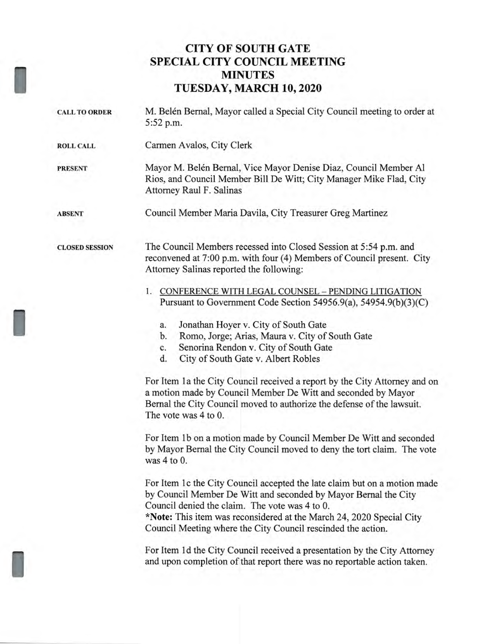## **CITY OF SOUTH GATE SPECIAL CITY COUNCIL MEETING MINUTES TUESDAY, MARCH 10, 2020**

| <b>CALL TO ORDER</b>  | M. Belén Bernal, Mayor called a Special City Council meeting to order at<br>5:52 p.m.                                                                                                                                                                                  |  |
|-----------------------|------------------------------------------------------------------------------------------------------------------------------------------------------------------------------------------------------------------------------------------------------------------------|--|
| <b>ROLL CALL</b>      | Carmen Avalos, City Clerk                                                                                                                                                                                                                                              |  |
| <b>PRESENT</b>        | Mayor M. Belén Bernal, Vice Mayor Denise Diaz, Council Member Al<br>Rios, and Council Member Bill De Witt; City Manager Mike Flad, City<br>Attorney Raul F. Salinas                                                                                                    |  |
| <b>ABSENT</b>         | Council Member Maria Davila, City Treasurer Greg Martinez                                                                                                                                                                                                              |  |
| <b>CLOSED SESSION</b> | The Council Members recessed into Closed Session at 5:54 p.m. and<br>reconvened at 7:00 p.m. with four (4) Members of Council present. City<br>Attorney Salinas reported the following:                                                                                |  |
|                       | 1. CONFERENCE WITH LEGAL COUNSEL - PENDING LITIGATION<br>Pursuant to Government Code Section 54956.9(a), 54954.9(b)(3)(C)                                                                                                                                              |  |
|                       | Jonathan Hoyer v. City of South Gate<br>a.<br>Romo, Jorge; Arias, Maura v. City of South Gate<br>b.<br>Senorina Rendon v. City of South Gate<br>c.<br>City of South Gate v. Albert Robles<br>d.                                                                        |  |
|                       | For Item 1a the City Council received a report by the City Attorney and on<br>a motion made by Council Member De Witt and seconded by Mayor<br>Bernal the City Council moved to authorize the defense of the lawsuit.<br>The vote was 4 to 0.                          |  |
|                       | For Item 1b on a motion made by Council Member De Witt and seconded<br>by Mayor Bernal the City Council moved to deny the tort claim. The vote<br>was 4 to 0.                                                                                                          |  |
|                       | For Item 1c the City Council accepted the late claim but on a motion made<br>by Council Member De Witt and seconded by Mayor Bernal the City<br>Council denied the claim. The vote was 4 to 0.<br>*Note: This item was reconsidered at the March 24, 2020 Special City |  |
|                       | Council Meeting where the City Council rescinded the action.<br>For Item 1d the City Council received a presentation by the City Attorney<br>and upon completion of that report there was no reportable action taken.                                                  |  |
|                       |                                                                                                                                                                                                                                                                        |  |